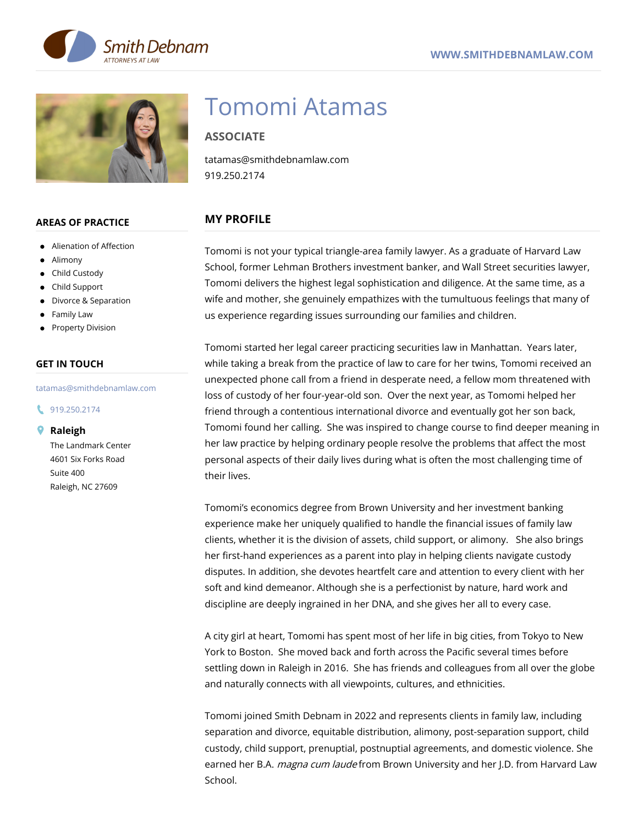



#### **AREAS OF PRACTICE**

- Alienation of Affection
- Alimony
- Child Custody
- Child Support
- Divorce & Separation
- Family Law
- Property Division

### **GET IN TOUCH**

#### tatamas@smithdebnamlaw.com

#### 19.250.2174

#### **Raleigh**

The Landmark Center 4601 Six Forks Road Suite 400 Raleigh, NC 27609

# Tomomi Atamas

# **ASSOCIATE**

tatamas@smithdebnamlaw.com 919.250.2174

# **MY PROFILE**

Tomomi is not your typical triangle-area family lawyer. As a graduate of Harvard Law School, former Lehman Brothers investment banker, and Wall Street securities lawyer, Tomomi delivers the highest legal sophistication and diligence. At the same time, as a wife and mother, she genuinely empathizes with the tumultuous feelings that many of us experience regarding issues surrounding our families and children.

Tomomi started her legal career practicing securities law in Manhattan. Years later, while taking a break from the practice of law to care for her twins, Tomomi received an unexpected phone call from a friend in desperate need, a fellow mom threatened with loss of custody of her four-year-old son. Over the next year, as Tomomi helped her friend through a contentious international divorce and eventually got her son back, Tomomi found her calling. She was inspired to change course to find deeper meaning in her law practice by helping ordinary people resolve the problems that affect the most personal aspects of their daily lives during what is often the most challenging time of their lives.

Tomomi's economics degree from Brown University and her investment banking experience make her uniquely qualified to handle the financial issues of family law clients, whether it is the division of assets, child support, or alimony. She also brings her first-hand experiences as a parent into play in helping clients navigate custody disputes. In addition, she devotes heartfelt care and attention to every client with her soft and kind demeanor. Although she is a perfectionist by nature, hard work and discipline are deeply ingrained in her DNA, and she gives her all to every case.

A city girl at heart, Tomomi has spent most of her life in big cities, from Tokyo to New York to Boston. She moved back and forth across the Pacific several times before settling down in Raleigh in 2016. She has friends and colleagues from all over the globe and naturally connects with all viewpoints, cultures, and ethnicities.

Tomomi joined Smith Debnam in 2022 and represents clients in family law, including separation and divorce, equitable distribution, alimony, post-separation support, child custody, child support, prenuptial, postnuptial agreements, and domestic violence. She earned her B.A. *magna cum laude* from Brown University and her J.D. from Harvard Law School.